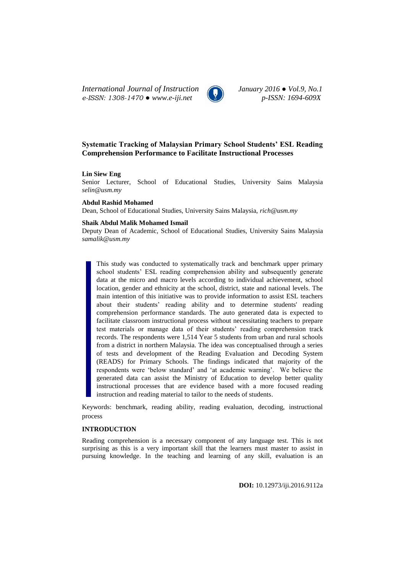*International Journal of Instruction January 2016 ● Vol.9, No.1 e-ISSN: 1308-1470 ● www.e-iji.net p-ISSN: 1694-609X*



# **Systematic Tracking of Malaysian Primary School Students' ESL Reading Comprehension Performance to Facilitate Instructional Processes**

### **Lin Siew Eng**

Senior Lecturer, School of Educational Studies, University Sains Malaysia *[selin@usm.my](mailto:selin@usm.my)*

#### **Abdul Rashid Mohamed**

Dean, School of Educational Studies, University Sains Malaysia, *[rich@usm.my](mailto:rich@usm.my)*

#### **Shaik Abdul Malik Mohamed Ismail**

Deputy Dean of Academic, School of Educational Studies, University Sains Malaysia *[samalik@usm.my](mailto:samalik@usm.my)*

This study was conducted to systematically track and benchmark upper primary school students" ESL reading comprehension ability and subsequently generate data at the micro and macro levels according to individual achievement, school location, gender and ethnicity at the school, district, state and national levels. The main intention of this initiative was to provide information to assist ESL teachers about their students" reading ability and to determine students' reading comprehension performance standards. The auto generated data is expected to facilitate classroom instructional process without necessitating teachers to prepare test materials or manage data of their students' reading comprehension track records. The respondents were 1,514 Year 5 students from urban and rural schools from a district in northern Malaysia. The idea was conceptualised through a series of tests and development of the Reading Evaluation and Decoding System (READS) for Primary Schools. The findings indicated that majority of the respondents were "below standard" and "at academic warning". We believe the generated data can assist the Ministry of Education to develop better quality instructional processes that are evidence based with a more focused reading instruction and reading material to tailor to the needs of students.

Keywords: benchmark, reading ability, reading evaluation, decoding, instructional process

# **INTRODUCTION**

Reading comprehension is a necessary component of any language test. This is not surprising as this is a very important skill that the learners must master to assist in pursuing knowledge. In the teaching and learning of any skill, evaluation is an

**DOI:** 10.12973/iji.2016.9112a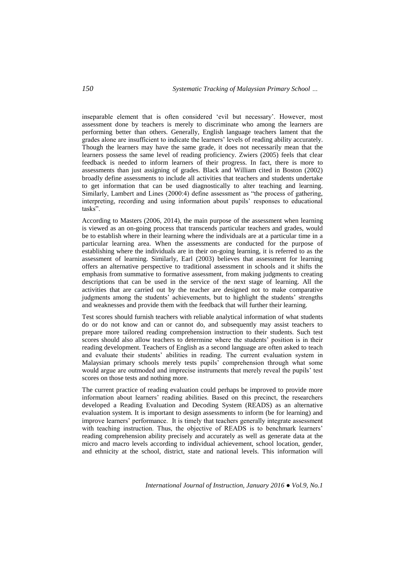inseparable element that is often considered "evil but necessary". However, most assessment done by teachers is merely to discriminate who among the learners are performing better than others. Generally, English language teachers lament that the grades alone are insufficient to indicate the learners" levels of reading ability accurately. Though the learners may have the same grade, it does not necessarily mean that the learners possess the same level of reading proficiency. Zwiers (2005) feels that clear feedback is needed to inform learners of their progress. In fact, there is more to assessments than just assigning of grades. Black and William cited in Boston (2002) broadly define assessments to include all activities that teachers and students undertake to get information that can be used diagnostically to alter teaching and learning. Similarly, Lambert and Lines (2000:4) define assessment as "the process of gathering, interpreting, recording and using information about pupils" responses to educational tasks".

According to Masters (2006, 2014), the main purpose of the assessment when learning is viewed as an on-going process that transcends particular teachers and grades, would be to establish where in their learning where the individuals are at a particular time in a particular learning area. When the assessments are conducted for the purpose of establishing where the individuals are in their on-going learning, it is referred to as the assessment of learning. Similarly, Earl (2003) believes that assessment for learning offers an alternative perspective to traditional assessment in schools and it shifts the emphasis from summative to formative assessment, from making judgments to creating descriptions that can be used in the service of the next stage of learning. All the activities that are carried out by the teacher are designed not to make comparative judgments among the students' achievements, but to highlight the students' strengths and weaknesses and provide them with the feedback that will further their learning.

Test scores should furnish teachers with reliable analytical information of what students do or do not know and can or cannot do, and subsequently may assist teachers to prepare more tailored reading comprehension instruction to their students. Such test scores should also allow teachers to determine where the students" position is in their reading development. Teachers of English as a second language are often asked to teach and evaluate their students" abilities in reading. The current evaluation system in Malaysian primary schools merely tests pupils" comprehension through what some would argue are outmoded and imprecise instruments that merely reveal the pupils" test scores on those tests and nothing more.

The current practice of reading evaluation could perhaps be improved to provide more information about learners" reading abilities. Based on this precinct, the researchers developed a Reading Evaluation and Decoding System (READS) as an alternative evaluation system. It is important to design assessments to inform (be for learning) and improve learners' performance. It is timely that teachers generally integrate assessment with teaching instruction. Thus, the objective of READS is to benchmark learners' reading comprehension ability precisely and accurately as well as generate data at the micro and macro levels according to individual achievement, school location, gender, and ethnicity at the school, district, state and national levels. This information will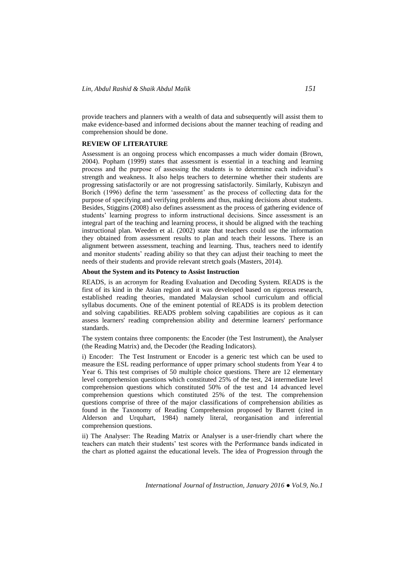provide teachers and planners with a wealth of data and subsequently will assist them to make evidence-based and informed decisions about the manner teaching of reading and comprehension should be done.

# **REVIEW OF LITERATURE**

Assessment is an ongoing process which encompasses a much wider domain (Brown, 2004). Popham (1999) states that assessment is essential in a teaching and learning process and the purpose of assessing the students is to determine each individual"s strength and weakness. It also helps teachers to determine whether their students are progressing satisfactorily or are not progressing satisfactorily. Similarly, Kubiszyn and Borich (1996) define the term "assessment" as the process of collecting data for the purpose of specifying and verifying problems and thus, making decisions about students. Besides, Stiggins (2008) also defines assessment as the process of gathering evidence of students" learning progress to inform instructional decisions. Since assessment is an integral part of the teaching and learning process, it should be aligned with the teaching instructional plan. Weeden et al. (2002) state that teachers could use the information they obtained from assessment results to plan and teach their lessons. There is an alignment between assessment, teaching and learning. Thus, teachers need to identify and monitor students" reading ability so that they can adjust their teaching to meet the needs of their students and provide relevant stretch goals (Masters, 2014).

# **About the System and its Potency to Assist Instruction**

READS, is an acronym for Reading Evaluation and Decoding System. READS is the first of its kind in the Asian region and it was developed based on rigorous research, established reading theories, mandated Malaysian school curriculum and official syllabus documents. One of the eminent potential of READS is its problem detection and solving capabilities. READS problem solving capabilities are copious as it can assess learners' reading comprehension ability and determine learners' performance standards.

The system contains three components: the Encoder (the Test Instrument), the Analyser (the Reading Matrix) and, the Decoder (the Reading Indicators).

i) Encoder: The Test Instrument or Encoder is a generic test which can be used to measure the ESL reading performance of upper primary school students from Year 4 to Year 6. This test comprises of 50 multiple choice questions. There are 12 elementary level comprehension questions which constituted 25% of the test, 24 intermediate level comprehension questions which constituted 50% of the test and 14 advanced level comprehension questions which constituted 25% of the test. The comprehension questions comprise of three of the major classifications of comprehension abilities as found in the Taxonomy of Reading Comprehension proposed by Barrett (cited in Alderson and Urquhart, 1984) namely literal, reorganisation and inferential comprehension questions.

ii) The Analyser: The Reading Matrix or Analyser is a user-friendly chart where the teachers can match their students" test scores with the Performance bands indicated in the chart as plotted against the educational levels. The idea of Progression through the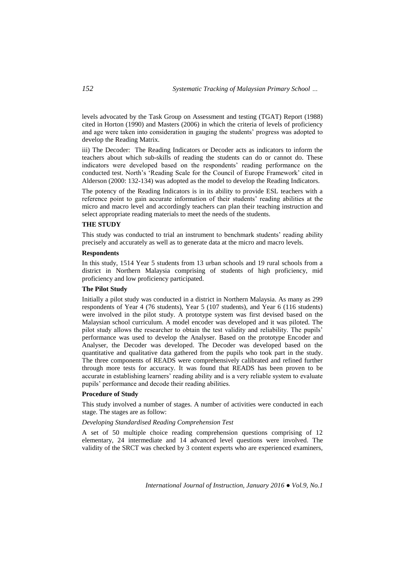levels advocated by the Task Group on Assessment and testing (TGAT) Report (1988) cited in Horton (1990) and Masters (2006) in which the criteria of levels of proficiency and age were taken into consideration in gauging the students" progress was adopted to develop the Reading Matrix.

iii) The Decoder: The Reading Indicators or Decoder acts as indicators to inform the teachers about which sub-skills of reading the students can do or cannot do. These indicators were developed based on the respondents' reading performance on the conducted test. North"s "Reading Scale for the Council of Europe Framework" cited in Alderson (2000: 132-134) was adopted as the model to develop the Reading Indicators.

The potency of the Reading Indicators is in its ability to provide ESL teachers with a reference point to gain accurate information of their students" reading abilities at the micro and macro level and accordingly teachers can plan their teaching instruction and select appropriate reading materials to meet the needs of the students.

### **THE STUDY**

This study was conducted to trial an instrument to benchmark students' reading ability precisely and accurately as well as to generate data at the micro and macro levels.

# **Respondents**

In this study, 1514 Year 5 students from 13 urban schools and 19 rural schools from a district in Northern Malaysia comprising of students of high proficiency, mid proficiency and low proficiency participated.

# **The Pilot Study**

Initially a pilot study was conducted in a district in Northern Malaysia. As many as 299 respondents of Year 4 (76 students), Year 5 (107 students), and Year 6 (116 students) were involved in the pilot study. A prototype system was first devised based on the Malaysian school curriculum. A model encoder was developed and it was piloted. The pilot study allows the researcher to obtain the test validity and reliability. The pupils" performance was used to develop the Analyser. Based on the prototype Encoder and Analyser, the Decoder was developed. The Decoder was developed based on the quantitative and qualitative data gathered from the pupils who took part in the study. The three components of READS were comprehensively calibrated and refined further through more tests for accuracy. It was found that READS has been proven to be accurate in establishing learners' reading ability and is a very reliable system to evaluate pupils" performance and decode their reading abilities.

#### **Procedure of Study**

This study involved a number of stages. A number of activities were conducted in each stage. The stages are as follow:

# *Developing Standardised Reading Comprehension Test*

A set of 50 multiple choice reading comprehension questions comprising of 12 elementary, 24 intermediate and 14 advanced level questions were involved. The validity of the SRCT was checked by 3 content experts who are experienced examiners,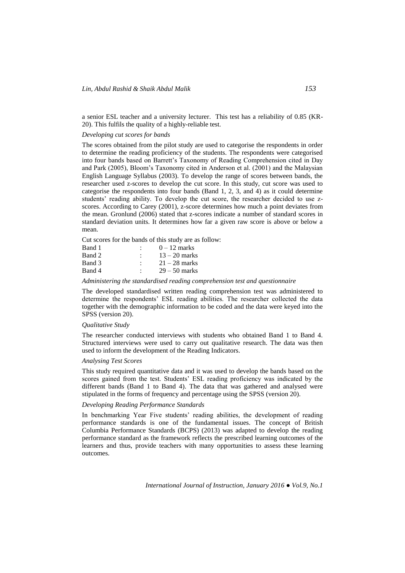a senior ESL teacher and a university lecturer. This test has a reliability of 0.85 (KR-20). This fulfils the quality of a highly-reliable test.

## *Developing cut scores for bands*

The scores obtained from the pilot study are used to categorise the respondents in order to determine the reading proficiency of the students. The respondents were categorised into four bands based on Barrett"s Taxonomy of Reading Comprehension cited in Day and Park (2005), Bloom"s Taxonomy cited in Anderson et al. (2001) and the Malaysian English Language Syllabus (2003). To develop the range of scores between bands, the researcher used z-scores to develop the cut score. In this study, cut score was used to categorise the respondents into four bands (Band 1, 2, 3, and 4) as it could determine students" reading ability. To develop the cut score, the researcher decided to use zscores. According to Carey (2001), z-score determines how much a point deviates from the mean. Gronlund (2006) stated that z-scores indicate a number of standard scores in standard deviation units. It determines how far a given raw score is above or below a mean.

Cut scores for the bands of this study are as follow:

| Band 1 | $0-12$ marks    |
|--------|-----------------|
| Band 2 | $13 - 20$ marks |
| Band 3 | $21 - 28$ marks |
| Band 4 | $29 - 50$ marks |

*Administering the standardised reading comprehension test and questionnaire*

The developed standardised written reading comprehension test was administered to determine the respondents" ESL reading abilities. The researcher collected the data together with the demographic information to be coded and the data were keyed into the SPSS (version 20).

### *Qualitative Study*

The researcher conducted interviews with students who obtained Band 1 to Band 4. Structured interviews were used to carry out qualitative research. The data was then used to inform the development of the Reading Indicators.

# *Analysing Test Scores*

This study required quantitative data and it was used to develop the bands based on the scores gained from the test. Students" ESL reading proficiency was indicated by the different bands (Band 1 to Band 4). The data that was gathered and analysed were stipulated in the forms of frequency and percentage using the SPSS (version 20).

### *Developing Reading Performance Standards*

In benchmarking Year Five students' reading abilities, the development of reading performance standards is one of the fundamental issues. The concept of British Columbia Performance Standards (BCPS) (2013) was adapted to develop the reading performance standard as the framework reflects the prescribed learning outcomes of the learners and thus, provide teachers with many opportunities to assess these learning outcomes.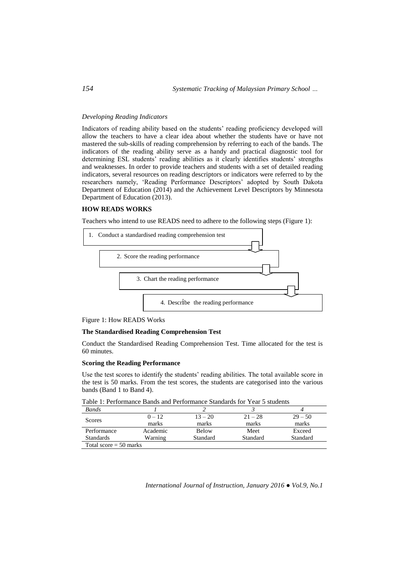### *Developing Reading Indicators*

Indicators of reading ability based on the students" reading proficiency developed will allow the teachers to have a clear idea about whether the students have or have not mastered the sub-skills of reading comprehension by referring to each of the bands. The indicators of the reading ability serve as a handy and practical diagnostic tool for determining ESL students' reading abilities as it clearly identifies students' strengths and weaknesses. In order to provide teachers and students with a set of detailed reading indicators, several resources on reading descriptors or indicators were referred to by the researchers namely, "Reading Performance Descriptors" adopted by South Dakota Department of Education (2014) and the Achievement Level Descriptors by Minnesota Department of Education (2013).

# **HOW READS WORKS**

Teachers who intend to use READS need to adhere to the following steps (Figure 1):



Figure 1: How READS Works

# **The Standardised Reading Comprehension Test**

Conduct the Standardised Reading Comprehension Test. Time allocated for the test is 60 minutes.

# **Scoring the Reading Performance**

Use the test scores to identify the students" reading abilities. The total available score in the test is 50 marks. From the test scores, the students are categorised into the various bands (Band 1 to Band 4).

| Bands                    |          |              |           |           |  |  |  |  |
|--------------------------|----------|--------------|-----------|-----------|--|--|--|--|
|                          | $0 - 12$ | $13 - 20$    | $21 - 28$ | $29 - 50$ |  |  |  |  |
| Scores                   | marks    | marks        | marks     | marks     |  |  |  |  |
| Performance              | Academic | <b>Below</b> | Meet      | Exceed    |  |  |  |  |
| <b>Standards</b>         | Warning  | Standard     | Standard  | Standard  |  |  |  |  |
| Total score $=$ 50 marks |          |              |           |           |  |  |  |  |

Table 1: Performance Bands and Performance Standards for Year 5 students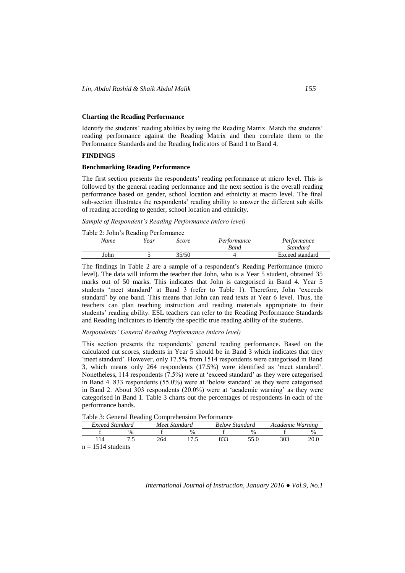# **Charting the Reading Performance**

Identify the students' reading abilities by using the Reading Matrix. Match the students' reading performance against the Reading Matrix and then correlate them to the Performance Standards and the Reading Indicators of Band 1 to Band 4.

### **FINDINGS**

# **Benchmarking Reading Performance**

The first section presents the respondents" reading performance at micro level. This is followed by the general reading performance and the next section is the overall reading performance based on gender, school location and ethnicity at macro level. The final sub-section illustrates the respondents' reading ability to answer the different sub skills of reading according to gender, school location and ethnicity.

*Sample of Respondent's Reading Performance (micro level)*

Table 2: John"s Reading Performance

| Name | Year | Score | Performance | Performance     |
|------|------|-------|-------------|-----------------|
|      |      |       | Band        | Standard        |
| John |      | 35/50 |             | Exceed standard |
|      |      |       |             |                 |

The findings in Table 2 are a sample of a respondent's Reading Performance (micro level). The data will inform the teacher that John, who is a Year 5 student, obtained 35 marks out of 50 marks. This indicates that John is categorised in Band 4. Year 5 students "meet standard" at Band 3 (refer to Table 1). Therefore, John "exceeds standard" by one band. This means that John can read texts at Year 6 level. Thus, the teachers can plan teaching instruction and reading materials appropriate to their students' reading ability. ESL teachers can refer to the Reading Performance Standards and Reading Indicators to identify the specific true reading ability of the students.

# *Respondents' General Reading Performance (micro level)*

This section presents the respondents' general reading performance. Based on the calculated cut scores, students in Year 5 should be in Band 3 which indicates that they 'meet standard'. However, only 17.5% from 1514 respondents were categorised in Band 3, which means only 264 respondents (17.5%) were identified as "meet standard". Nonetheless, 114 respondents (7.5%) were at "exceed standard" as they were categorised in Band 4. 833 respondents (55.0%) were at "below standard" as they were categorised in Band 2. About 303 respondents (20.0%) were at "academic warning" as they were categorised in Band 1. Table 3 charts out the percentages of respondents in each of the performance bands.

Table 3: General Reading Comprehension Performance

|                                 |                 |               | --  |               |     |                       |                  |      |
|---------------------------------|-----------------|---------------|-----|---------------|-----|-----------------------|------------------|------|
|                                 | Exceed Standard |               |     | Meet Standard |     | <b>Below Standard</b> | Academic Warning |      |
|                                 |                 | $\frac{0}{0}$ |     | $\frac{0}{6}$ |     | %                     |                  |      |
|                                 |                 | .             | 264 |               | 922 |                       |                  | 20.0 |
| the state of the control of the | 1.7141          |               |     |               |     |                       |                  |      |

 $n = 1514$  students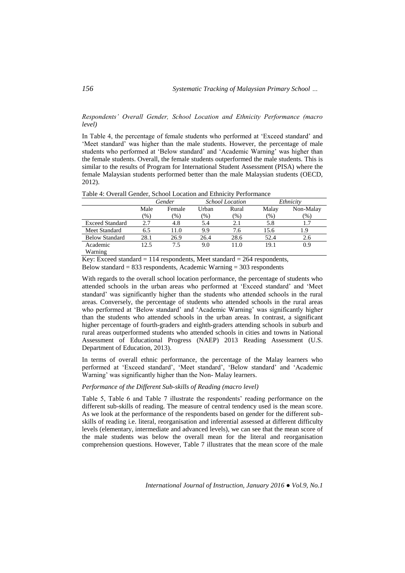*Respondents' Overall Gender, School Location and Ethnicity Performance (macro level)*

In Table 4, the percentage of female students who performed at "Exceed standard" and 'Meet standard' was higher than the male students. However, the percentage of male students who performed at "Below standard" and "Academic Warning" was higher than the female students. Overall, the female students outperformed the male students. This is similar to the results of Program for International Student Assessment (PISA) where the female Malaysian students performed better than the male Malaysian students (OECD, 2012).

| Table 4: Overall Gender, School Location and Ethnicity Performance |  |  |
|--------------------------------------------------------------------|--|--|
|                                                                    |  |  |

|                        | Gender |        |       | <b>School Location</b> | Ethnicity |           |
|------------------------|--------|--------|-------|------------------------|-----------|-----------|
|                        | Male   | Female | Urban | Rural                  | Malay     | Non-Malay |
|                        | $(\%)$ | $(\%)$ | (%)   | $(\%)$                 | $(\% )$   | $(\%)$    |
| <b>Exceed Standard</b> | 2.7    | 4.8    | 5.4   | 2.1                    | 5.8       |           |
| Meet Standard          | 6.5    | 11.0   | 9.9   | 7.6                    | 15.6      | 1.9       |
| <b>Below Standard</b>  | 28.1   | 26.9   | 26.4  | 28.6                   | 52.4      | 2.6       |
| Academic               | 12.5   | 7.5    | 9.0   | 11.0                   | 19.1      | 0.9       |
| Warning                |        |        |       |                        |           |           |

Key: Exceed standard  $= 114$  respondents, Meet standard  $= 264$  respondents, Below standard  $= 833$  respondents, Academic Warning  $= 303$  respondents

With regards to the overall school location performance, the percentage of students who attended schools in the urban areas who performed at "Exceed standard" and "Meet standard" was significantly higher than the students who attended schools in the rural areas. Conversely, the percentage of students who attended schools in the rural areas who performed at 'Below standard' and 'Academic Warning' was significantly higher than the students who attended schools in the urban areas. In contrast, a significant higher percentage of fourth-graders and eighth-graders attending schools in suburb and rural areas outperformed students who attended schools in cities and towns in National Assessment of Educational Progress (NAEP) 2013 Reading Assessment (U.S. Department of Education, 2013).

In terms of overall ethnic performance, the percentage of the Malay learners who performed at "Exceed standard", "Meet standard", "Below standard" and "Academic Warning' was significantly higher than the Non- Malay learners.

### *Performance of the Different Sub-skills of Reading (macro level)*

Table 5, Table 6 and Table 7 illustrate the respondents' reading performance on the different sub-skills of reading. The measure of central tendency used is the mean score. As we look at the performance of the respondents based on gender for the different subskills of reading i.e. literal, reorganisation and inferential assessed at different difficulty levels (elementary, intermediate and advanced levels), we can see that the mean score of the male students was below the overall mean for the literal and reorganisation comprehension questions. However, Table 7 illustrates that the mean score of the male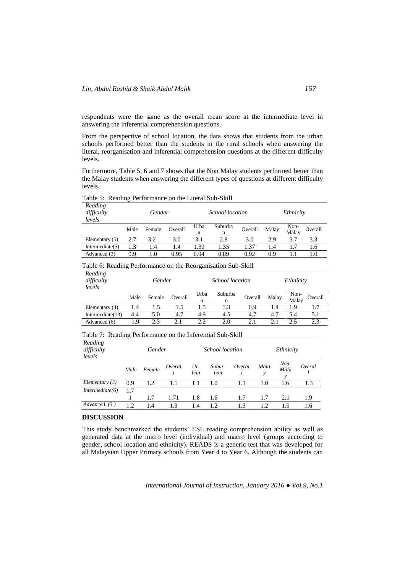respondents were the same as the overall mean score at the intermediate level in answering the inferential comprehension questions.

From the perspective of school location, the data shows that students from the urban schools performed better than the students in the rural schools when answering the literal, reorganisation and inferential comprehension questions at the different difficulty levels.

Furthermore, Table 5, 6 and 7 shows that the Non Malay students performed better than the Malay students when answering the different types of questions at different difficulty levels.

|  |  |  |  | Table 5: Reading Performance on the Literal Sub-Skill |
|--|--|--|--|-------------------------------------------------------|
|--|--|--|--|-------------------------------------------------------|

| Reading<br>difficulty<br>levels | Gender |        |         | <i>School location</i> |              |         |       |               | Ethnicity |  |
|---------------------------------|--------|--------|---------|------------------------|--------------|---------|-------|---------------|-----------|--|
|                                 | Male   | Female | Overall | Urba<br>n              | Suburba<br>n | Overall | Malay | Non-<br>Malay | Overall   |  |
| Elementary $(5)$                | 2.7    | 3.2    | 3.0     | 3.1                    | 2.8          | 3.0     | 2.9   | 3.7           | 3.3       |  |
| Intermediate $(5)$              | 1.3    | 1.4    | 1.4     | 1.39                   | 1.35         | 1.37    | 1.4   | 1.7           | 1.6       |  |
| Advanced (3)                    | 0.9    | 1.0    | 0.95    | 0.94                   | 0.89         | 0.92    | 0.9   |               | 1.0       |  |

# Table 6: Reading Performance on the Reorganisation Sub-Skill

| Reading<br>difficulty<br>levels | Gender |        |         | <i>School location</i> |              |         |       | Ethnicity     |         |
|---------------------------------|--------|--------|---------|------------------------|--------------|---------|-------|---------------|---------|
|                                 | Male   | Female | Overall | Urba<br>n              | Suburba<br>n | Overall | Malay | Non-<br>Malay | Overall |
| Elementary (4)                  | 1.4    | 1.5    | 1.5     | 1.5                    | 1.3          | 0.9     | 1.4   | 1.9           |         |
| Intermediate $(13)$             | 4.4    | 5.0    | 4.7     | 4.9                    | 4.5          | 4.7     | 4.7   | 5.4           | 5.1     |
| Advanced (6)                    | 1.9    | 2.3    |         | 2.2                    | 2.0          | 2.1     | 2.1   | 2.5           | 2.3     |

# Table 7: Reading Performance on the Inferential Sub-Skill

| Reading<br>difficulty<br>levels | Gender |        |        | School location |               |        | Ethnicity |                |        |
|---------------------------------|--------|--------|--------|-----------------|---------------|--------|-----------|----------------|--------|
|                                 | Male   | Female | Overal | $Ur-$<br>ban    | Subur-<br>ban | Overal | Mala<br>у | $Non-$<br>Mala | Overal |
| Elementary $(3)$                | 0.9    | 1.2    | 1.1    | 1.1             | 1.0           | 1.1    | 1.0       | 1.6            | 1.3    |
| Intermediate(6)                 | 1.7    |        |        |                 |               |        |           |                |        |
|                                 |        | 1.7    | 1.71   | 1.8             | 1.6           | 1.7    | 1.7       | 2.1            | 1.9    |
| Advanced (5)                    | 12     | 1.4    | 13     | 1.4             | 12            | 1.3    | 12        | 1.9            | 1.6    |

#### **DISCUSSION**

This study benchmarked the students" ESL reading comprehension ability as well as generated data at the micro level (individual) and macro level (groups according to gender, school location and ethnicity). READS is a generic test that was developed for all Malaysian Upper Primary schools from Year 4 to Year 6. Although the students can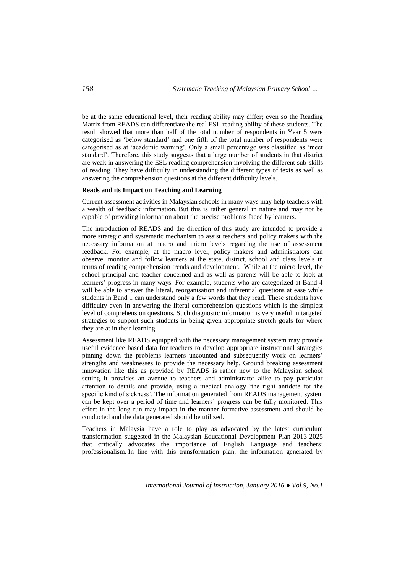be at the same educational level, their reading ability may differ; even so the Reading Matrix from READS can differentiate the real ESL reading ability of these students. The result showed that more than half of the total number of respondents in Year 5 were categorised as "below standard" and one fifth of the total number of respondents were categorised as at "academic warning". Only a small percentage was classified as "meet standard". Therefore, this study suggests that a large number of students in that district are weak in answering the ESL reading comprehension involving the different sub-skills of reading. They have difficulty in understanding the different types of texts as well as answering the comprehension questions at the different difficulty levels.

#### **Reads and its Impact on Teaching and Learning**

Current assessment activities in Malaysian schools in many ways may help teachers with a wealth of feedback information. But this is rather general in nature and may not be capable of providing information about the precise problems faced by learners.

The introduction of READS and the direction of this study are intended to provide a more strategic and systematic mechanism to assist teachers and policy makers with the necessary information at macro and micro levels regarding the use of assessment feedback. For example, at the macro level, policy makers and administrators can observe, monitor and follow learners at the state, district, school and class levels in terms of reading comprehension trends and development. While at the micro level, the school principal and teacher concerned and as well as parents will be able to look at learners" progress in many ways. For example, students who are categorized at Band 4 will be able to answer the literal, reorganisation and inferential questions at ease while students in Band 1 can understand only a few words that they read. These students have difficulty even in answering the literal comprehension questions which is the simplest level of comprehension questions. Such diagnostic information is very useful in targeted strategies to support such students in being given appropriate stretch goals for where they are at in their learning.

Assessment like READS equipped with the necessary management system may provide useful evidence based data for teachers to develop appropriate instructional strategies pinning down the problems learners uncounted and subsequently work on learners" strengths and weaknesses to provide the necessary help. Ground breaking assessment innovation like this as provided by READS is rather new to the Malaysian school setting. It provides an avenue to teachers and administrator alike to pay particular attention to details and provide, using a medical analogy "the right antidote for the specific kind of sickness". The information generated from READS management system can be kept over a period of time and learners" progress can be fully monitored. This effort in the long run may impact in the manner formative assessment and should be conducted and the data generated should be utilized.

Teachers in Malaysia have a role to play as advocated by the latest curriculum transformation suggested in the Malaysian Educational Development Plan 2013-2025 that critically advocates the importance of English Language and teachers" professionalism. In line with this transformation plan, the information generated by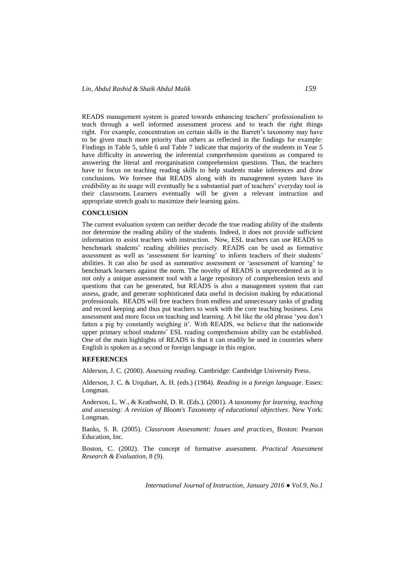READS management system is geared towards enhancing teachers" professionalism to teach through a well informed assessment process and to teach the right things right. For example, concentration on certain skills in the Barrett"s taxonomy may have to be given much more priority than others as reflected in the findings for example: Findings in Table 5, table 6 and Table 7 indicate that majority of the students in Year 5 have difficulty in answering the inferential comprehension questions as compared to answering the literal and reorganisation comprehension questions. Thus, the teachers have to focus on teaching reading skills to help students make inferences and draw conclusions. We foresee that READS along with its management system have its credibility as its usage will eventually be a substantial part of teachers' everyday tool in their classrooms. Learners eventually will be given a relevant instruction and appropriate stretch goals to maximize their learning gains.

# **CONCLUSION**

The current evaluation system can neither decode the true reading ability of the students nor determine the reading ability of the students. Indeed, it does not provide sufficient information to assist teachers with instruction. Now, ESL teachers can use READS to benchmark students' reading abilities precisely. READS can be used as formative assessment as well as "assessment for learning" to inform teachers of their students" abilities. It can also be used as summative assessment or "assessment of learning" to benchmark learners against the norm. The novelty of READS is unprecedented as it is not only a unique assessment tool with a large repository of comprehension texts and questions that can be generated, but READS is also a management system that can assess, grade, and generate sophisticated data useful in decision making by educational professionals. READS will free teachers from endless and unnecessary tasks of grading and record keeping and thus put teachers to work with the core teaching business. Less assessment and more focus on teaching and learning. A bit like the old phrase "you don"t fatten a pig by constantly weighing it'. With READS, we believe that the nationwide upper primary school students" ESL reading comprehension ability can be established. One of the main highlights of READS is that it can readily be used in countries where English is spoken as a second or foreign language in this region.

#### **REFERENCES**

Alderson, J. C. (2000). *Assessing reading.* Cambridge: Cambridge University Press.

Alderson, J. C. & Urquhart, A. H. (eds.) (1984). *Reading in a foreign language*. Essex: Longman.

Anderson, L. W., & Krathwohl, D. R. (Eds.). (2001). *A taxonomy for learning, teaching and assessing: A revision of Bloom's Taxonomy of educational objectives*. New York: Longman.

Banks, S. R. (2005). *Classroom Assessment: Issues and practices*. Boston: Pearson Education, Inc.

Boston, C. (2002). The concept of formative assessment. *Practical Assessment Research & Evaluation,* 8 (9).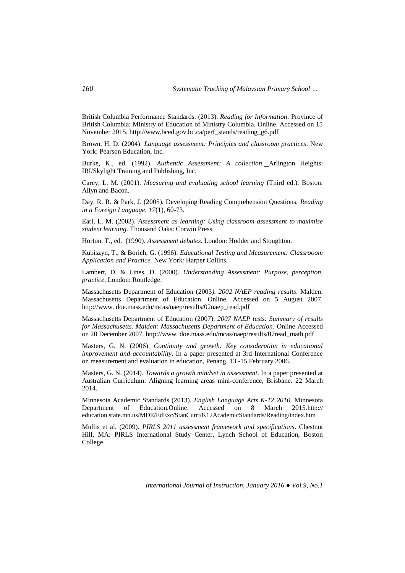British Columbia Performance Standards. (2013). *Reading for Information*. Province of British Columbia: Ministry of Education of Ministry Columbia. Online. Accessed on 15 November 2015. [http://www.bced.gov.bc.ca/perf\\_stands/reading\\_g6.pdf](http://www.bced.gov.bc.ca/perf_stands/reading_g6.pdf)

Brown, H. D. (2004). *Language assessment: Principles and classroom practices*. New York: Pearson Education, Inc.

Burke, K., ed. (1992). *Authentic Assessment: A collection.* Arlington Heights: IRI/Skylight Training and Publishing, Inc.

Carey, L. M. (2001). *Measuring and evaluating school learning* (Third ed.). Boston: Allyn and Bacon.

Day, R. R. & Park, J. (2005). Developing Reading Comprehension Questions. *Reading in a Foreign Language, 17*(1), 60-73.

Earl, L. M. (2003). *Assessment as learning: Using classroom assessment to maximise student learning.* Thousand Oaks: Corwin Press.

Horton, T., ed. (1990). *Assessment debates*. London: Hodder and Stoughton.

Kubiszyn, T., & Borich, G. (1996). *Educational Testing and Measurement: Classrooom Application and Practice.* New York: Harper Collins.

Lambert, D. & Lines, D. (2000). *Understanding Assessment: Purpose, perception, practice*. London: Routledge.

Massachusetts Department of Education (2003*). 2002 NAEP reading results*. Malden: Massachusetts Department of Education. Online. Accessed on 5 August 2007. [http://www.](http://www/) doe.mass.edu/mcas/naep/results/02naep\_read.pdf

Massachusetts Department of Education (2007). *2007 NAEP tests: Summary of results for Massachusetts. Malden: Massachusetts Department of Education*. Online Accessed on 20 December 2007. http://www. doe.mass.edu/mcas/naep/results/07read\_math.pdf

Masters, G. N. (2006). *Continuity and growth: Key consideration in educational improvement and accountability*. In a paper presented at 3rd International Conference on measurement and evaluation in education, Penang. 13 -15 February 2006.

Masters, G. N. (2014). *Towards a growth mindset in assessment*. In a paper presented at Australian Curriculum: Aligning learning areas mini-conference, Brisbane. 22 March 2014.

Minnesota Academic Standards (2013). *English Language Arts K-12 2010*. Minnesota Department of Education.Online. Accessed on 8 March 2015.http:// education.state.mn.us/MDE/EdExc/StanCurri/K12AcademicStandards/Reading/index.htm

Mullis et al. (2009). *PIRLS 2011 assessment framework and specifications*. Chestnut Hill, MA: PIRLS International Study Center, Lynch School of Education, Boston College.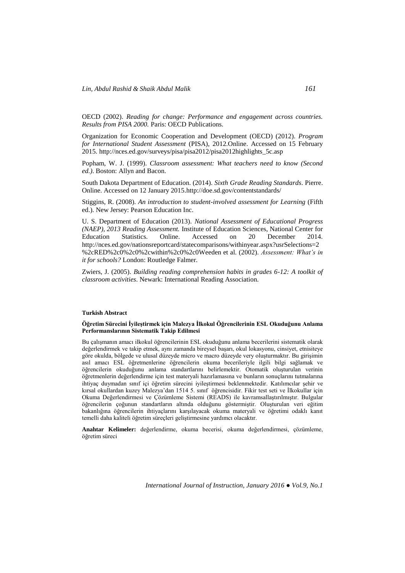OECD (2002). *Reading for change: Performance and engagement across countries. Results from PISA 2000.* Paris: OECD Publications.

Organization for Economic Cooperation and Development (OECD) (2012). *Program for International Student Assessment* (PISA), 2012.Online. Accessed on 15 February 2015[. http://nces.ed.gov/surveys/pisa/pisa2012/pisa2012highlights\\_5c.asp](http://nces.ed.gov/surveys/pisa/pisa2012/pisa2012highlights_5c.asp)

Popham, W. J. (1999). *Classroom assessment: What teachers need to know (Second ed.)*. Boston: Allyn and Bacon.

South Dakota Department of Education. (2014). *Sixth Grade Reading Standards*. Pierre. Online. Accessed on 12 January 201[5.http://doe.sd.gov/contentstandards/](http://doe.sd.gov/contentstandards/)

Stiggins, R. (2008). *An introduction to student-involved assessment for Learning* (Fifth ed.). New Jersey: Pearson Education Inc.

U. S. Department of Education (2013). *National Assessment of Educational Progress (NAEP), 2013 Reading Assessment.* Institute of Education Sciences, National Center for Education Statistics. Online. Accessed on 20 December 2014. http://nces.ed.gov/nationsreportcard/statecomparisons/withinyear.aspx?usrSelections=2 %2cRED%2c0%2c0%2cwithin%2c0%2c0Weeden et al. (2002). *Assessment: What's in it for schools?* London: Routledge Falmer.

Zwiers, J. (2005). *Building reading comprehension habits in grades 6-12: A toolkit of classroom activities*. Newark: International Reading Association.

#### **Turkish Abstract**

#### **Öğretim Sürecini İyileştirmek için Malezya İlkokul Öğrencilerinin ESL Okuduğunu Anlama Performanslarının Sistematik Takip Edilmesi**

Bu çalışmanın amacı ilkokul öğrencilerinin ESL okuduğunu anlama becerilerini sistematik olarak değerlendirmek ve takip etmek, aynı zamanda bireysel başarı, okul lokasyonu, cinsiyet, etnisiteye göre okulda, bölgede ve ulusal düzeyde micro ve macro düzeyde very oluşturmaktır. Bu girişimin asıl amacı ESL öğretmenlerine öğrencilerin okuma becerileriyle ilgili bilgi sağlamak ve öğrencilerin okuduğunu anlama standartlarını belirlemektir. Otomatik oluşturulan verinin öğretmenlerin değerlendirme için test materyali hazırlamasına ve bunların sonuçlarını tutmalarına ihtiyaç duymadan sınıf içi öğretim sürecini iyileştirmesi beklenmektedir. Katılımcılar şehir ve kırsal okullardan kuzey Malezya"dan 1514 5. sınıf öğrencisidir. Fikir test seti ve İlkokullar için Okuma Değerlendirmesi ve Çözümleme Sistemi (READS) ile kavramsallaştırılmıştır. Bulgular öğrencilerin çoğunun standartların altında olduğunu göstermiştir. Oluşturulan veri eğitim bakanlığına öğrencilerin ihtiyaçlarını karşılayacak okuma materyali ve öğretimi odaklı kanıt temelli daha kaliteli öğretim süreçleri geliştirmesine yardımcı olacaktır.

**Anahtar Kelimeler:** değerlendirme, okuma becerisi, okuma değerlendirmesi, çözümleme, öğretim süreci